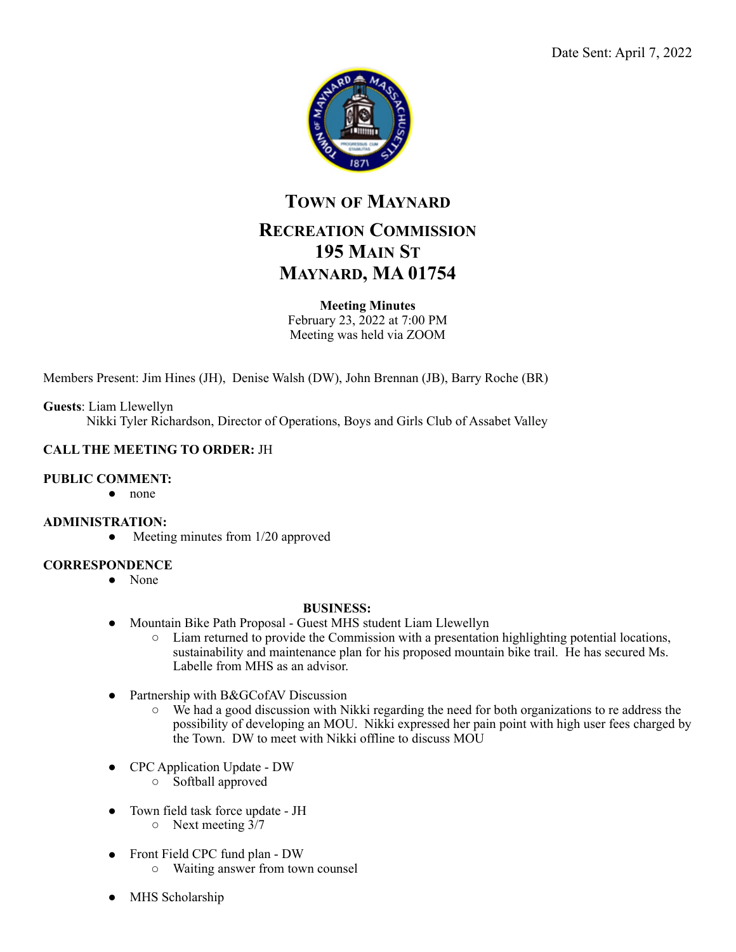

# **TOWN OF MAYNARD RECREATION COMMISSION 195 MAIN ST MAYNARD, MA 01754**

### **Meeting Minutes**

February 23, 2022 at 7:00 PM Meeting was held via ZOOM

Members Present: Jim Hines (JH), Denise Walsh (DW), John Brennan (JB), Barry Roche (BR)

**Guests**: Liam Llewellyn Nikki Tyler Richardson, Director of Operations, Boys and Girls Club of Assabet Valley

# **CALL THE MEETING TO ORDER:** JH

#### **PUBLIC COMMENT:**

● none

#### **ADMINISTRATION:**

• Meeting minutes from 1/20 approved

#### **CORRESPONDENCE**

● None

#### **BUSINESS:**

- Mountain Bike Path Proposal Guest MHS student Liam Llewellyn
	- Liam returned to provide the Commission with a presentation highlighting potential locations, sustainability and maintenance plan for his proposed mountain bike trail. He has secured Ms. Labelle from MHS as an advisor.
- Partnership with B&GCofAV Discussion
	- We had a good discussion with Nikki regarding the need for both organizations to re address the possibility of developing an MOU. Nikki expressed her pain point with high user fees charged by the Town. DW to meet with Nikki offline to discuss MOU
- CPC Application Update DW
	- Softball approved
- Town field task force update JH
	- Next meeting 3/7
- Front Field CPC fund plan DW
	- Waiting answer from town counsel
- MHS Scholarship